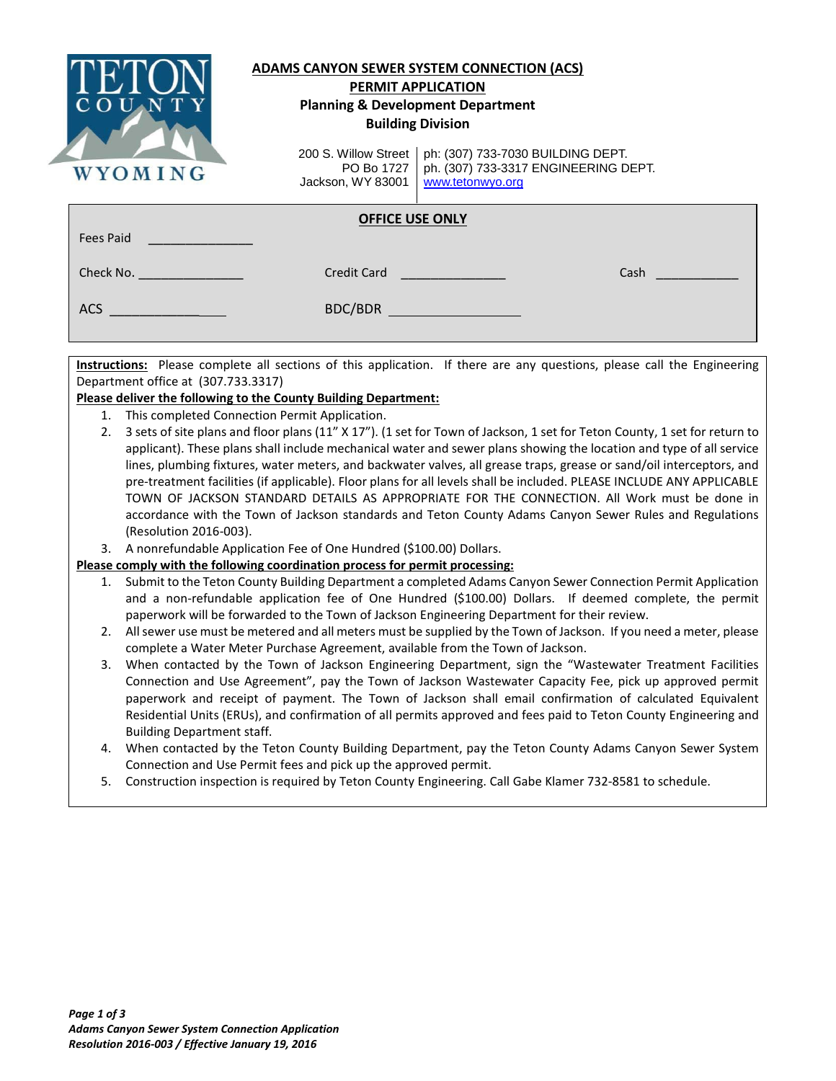

## **ADAMS CANYON SEWER SYSTEM CONNECTION (ACS) PERMIT APPLICATION**

# **Planning & Development Department Building Division**

200 S. Willow Street PO Bo 1727 Jackson, WY 83001

ph: (307) 733-7030 BUILDING DEPT. ph. (307) 733-3317 ENGINEERING DEPT. [www.tetonwyo.org](http://www.tetonwyo.org/)

## **OFFICE USE ONLY**

| Fees Paid |             |      |
|-----------|-------------|------|
| Check No. | Credit Card | Cash |
| ACS       | BDC/BDR     |      |
|           |             |      |

**Instructions:** Please complete all sections of this application. If there are any questions, please call the Engineering Department office at (307.733.3317)

## **Please deliver the following to the County Building Department:**

- 1. This completed Connection Permit Application.
- 2. 3 sets of site plans and floor plans (11" X 17"). (1 set for Town of Jackson, 1 set for Teton County, 1 set for return to applicant). These plans shall include mechanical water and sewer plans showing the location and type of all service lines, plumbing fixtures, water meters, and backwater valves, all grease traps, grease or sand/oil interceptors, and pre-treatment facilities (if applicable). Floor plans for all levels shall be included. PLEASE INCLUDE ANY APPLICABLE TOWN OF JACKSON STANDARD DETAILS AS APPROPRIATE FOR THE CONNECTION. All Work must be done in accordance with the Town of Jackson standards and Teton County Adams Canyon Sewer Rules and Regulations (Resolution 2016-003).
- 3. A nonrefundable Application Fee of One Hundred (\$100.00) Dollars.

## **Please comply with the following coordination process for permit processing:**

- 1. Submit to the Teton County Building Department a completed Adams Canyon Sewer Connection Permit Application and a non-refundable application fee of One Hundred (\$100.00) Dollars. If deemed complete, the permit paperwork will be forwarded to the Town of Jackson Engineering Department for their review.
- 2. All sewer use must be metered and all meters must be supplied by the Town of Jackson. If you need a meter, please complete a Water Meter Purchase Agreement, available from the Town of Jackson.
- 3. When contacted by the Town of Jackson Engineering Department, sign the "Wastewater Treatment Facilities Connection and Use Agreement", pay the Town of Jackson Wastewater Capacity Fee, pick up approved permit paperwork and receipt of payment. The Town of Jackson shall email confirmation of calculated Equivalent Residential Units (ERUs), and confirmation of all permits approved and fees paid to Teton County Engineering and Building Department staff.
- 4. When contacted by the Teton County Building Department, pay the Teton County Adams Canyon Sewer System Connection and Use Permit fees and pick up the approved permit.
- 5. Construction inspection is required by Teton County Engineering. Call Gabe Klamer 732-8581 to schedule.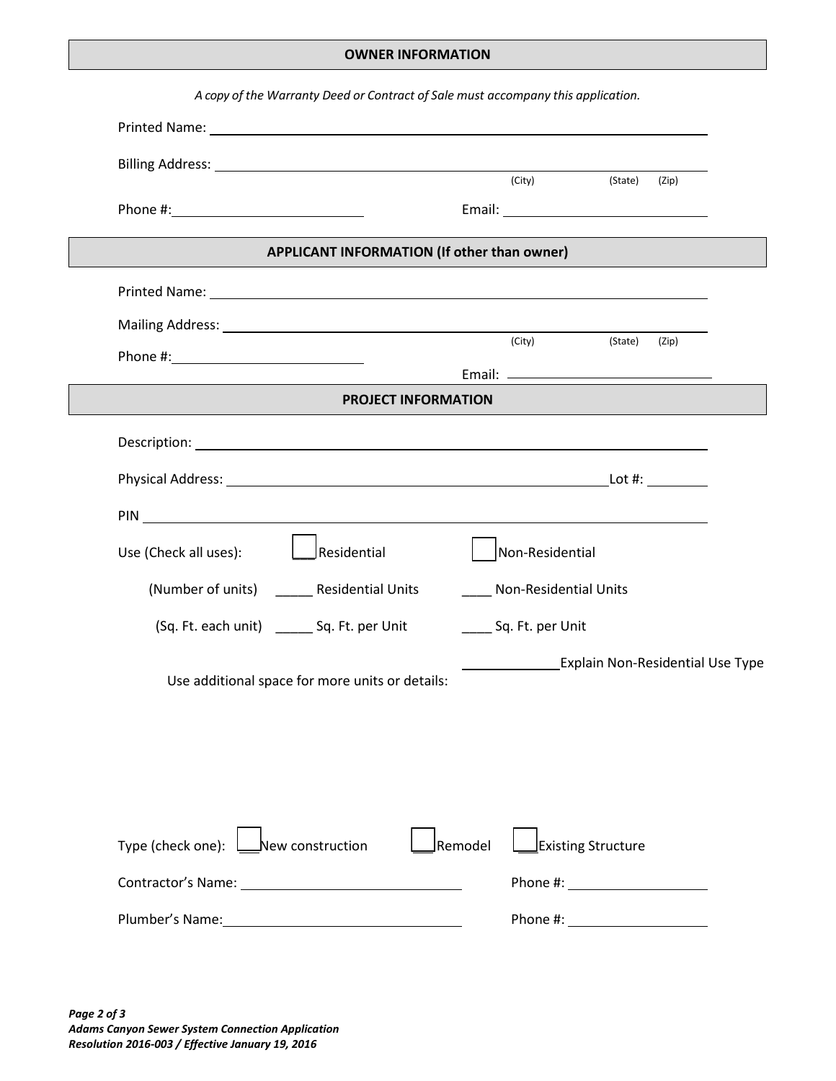### **OWNER INFORMATION**

| Printed Name: The contract of the contract of the contract of the contract of the contract of the contract of the contract of the contract of the contract of the contract of the contract of the contract of the contract of        |                       |                                         |
|--------------------------------------------------------------------------------------------------------------------------------------------------------------------------------------------------------------------------------------|-----------------------|-----------------------------------------|
|                                                                                                                                                                                                                                      |                       |                                         |
|                                                                                                                                                                                                                                      | (City)                | (State)<br>(Zip)                        |
|                                                                                                                                                                                                                                      |                       |                                         |
| APPLICANT INFORMATION (If other than owner)                                                                                                                                                                                          |                       |                                         |
|                                                                                                                                                                                                                                      |                       |                                         |
|                                                                                                                                                                                                                                      |                       |                                         |
|                                                                                                                                                                                                                                      | (City)                | (State)<br>(Zip)                        |
| <b>PROJECT INFORMATION</b>                                                                                                                                                                                                           |                       |                                         |
|                                                                                                                                                                                                                                      |                       |                                         |
| Description: Network of the state of the state of the state of the state of the state of the state of the state of the state of the state of the state of the state of the state of the state of the state of the state of the       |                       |                                         |
|                                                                                                                                                                                                                                      |                       |                                         |
| PIN <u>substitution of the second contract of the second contract of the second contract of the second contract of the second contract of the second contract of the second contract of the second contract of the second contra</u> |                       |                                         |
| <b>L</b> Residential<br>Use (Check all uses):                                                                                                                                                                                        | Non-Residential       |                                         |
| (Number of units) _______ Residential Units                                                                                                                                                                                          | Non-Residential Units |                                         |
| (Sq. Ft. each unit) _______ Sq. Ft. per Unit                                                                                                                                                                                         | Sq. Ft. per Unit      |                                         |
| Use additional space for more units or details:                                                                                                                                                                                      |                       | <b>Explain Non-Residential Use Type</b> |
|                                                                                                                                                                                                                                      |                       |                                         |
|                                                                                                                                                                                                                                      |                       |                                         |
|                                                                                                                                                                                                                                      |                       |                                         |
|                                                                                                                                                                                                                                      |                       |                                         |
| Type (check one): <u>Lastel</u> New construction                                                                                                                                                                                     | Remodel               | <b>Existing Structure</b>               |
|                                                                                                                                                                                                                                      |                       |                                         |
|                                                                                                                                                                                                                                      |                       |                                         |